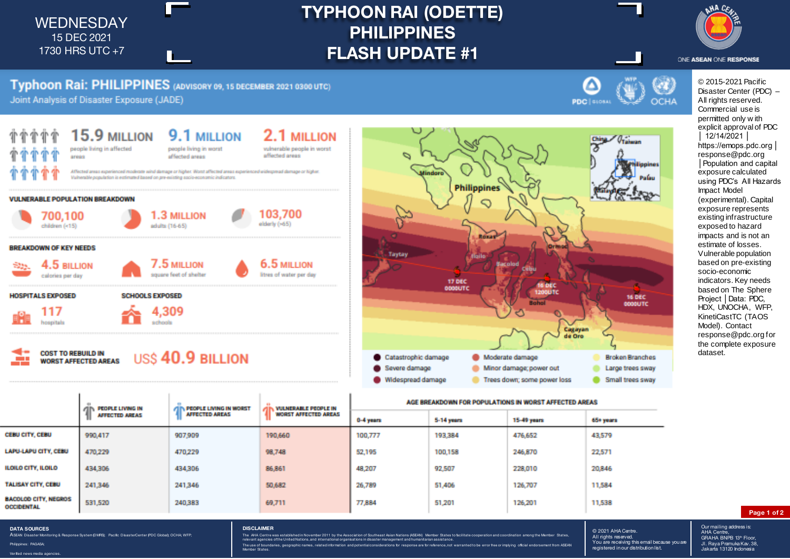WEDNESDAY 15 DEC 2021 1730 HRS UTC +7

## **TYPHOON RAI (ODETTE) PHILIPPINES FLASH UPDATE #1**



# Typhoon Rai: PHILIPPINES (ADVISORY 09, 15 DECEMBER 2021 0300 UTC)

Joint Analysis of Disaster Exposure (JADE)







AGE BREAKDOWN FOR POPULATIONS IN WORST AFFECTED AREAS

PEOPLE LIVING IN **PEOPLE LIVING IN WORST VULNERABLE PEOPLE IN** AFFECTED AREAS **WORST AFFECTED AREAS AFFECTED AREAS** 0-4 years 5-14 years **15-49 years** 65+ years CEBU CITY, CEBU 990.417 907.909 190,660 100.777 193,384 476.652 43,579 **LAPU-LAPU CITY, CEBU** 470.229 470.229 98,748 52.195 100,158 246,870 22,571 **ILOILO CITY, ILOILO** 434,306 434.306 86,861 48.207 92.507 228,010 20.846 **TALISAY CITY, CEBU** 241.346 241,346 50,682 26.789 51,406 126,707 11,584 **BACOLOD CITY, NEGROS** 531,520 240.383 69.711 77,884 51,201 126.201 11,538 **OCCIDENTAL** 

ONE ASEAN ONE RESPONSE © 2015-2021 Pacific Disaster Center (PDC) – All rights reserved. Commercial use is permitted only w ith explicit approval of PDC │ 12/14/2021 │ https://emops.pdc.org │ response@pdc.org │Population and capital exposure calculated using PDC's All Hazards Impact Model (experimental). Capital exposure represents existing infrastructure exposed to hazard impacts and is not an estimate of losses.

Vulnerable population based on pre-existing socio-economic indicators. Key needs based on The Sphere Project │Data: PDC, HDX, UNOCHA, WFP, KinetiCastTC (TAOS Model). Contact response@pdc.org for the complete exposure dataset.

**DATA SOURCES** ASEAN Disaster Monitoring & Response System (DMRS); Pacific Disaster Center (PDC Global); OCHA; WFP;

Philippines: PAGASA; Verified news media agencies.

### **DISCLAIMER**

The AHA Centre was established in November 2011 by the Association of Southeast Asian Nations (ASEAN) Member States to facilitate cooperation and coordination among the Member States relevant agencies of the United Nations, and international organisations in disaster management and humanitarian assistance. The use of boundaries, geographic names, related information and potential considerations for response are for reference, not warranted to be error free or implying official endorsement from ASEAN and predictions of respon

#### © 2021 AHA Centre. S ESET AT A COMMON You are receiving this email because you are registered in our distribution list.

Our mailing address is: AHA Centre,<br>GRAHA BNPB 13<sup>th</sup> Floor, Jl. Raya Pramuka Kav. 38, Jakarta 13120 Indonesia

**Page 1 of 2**